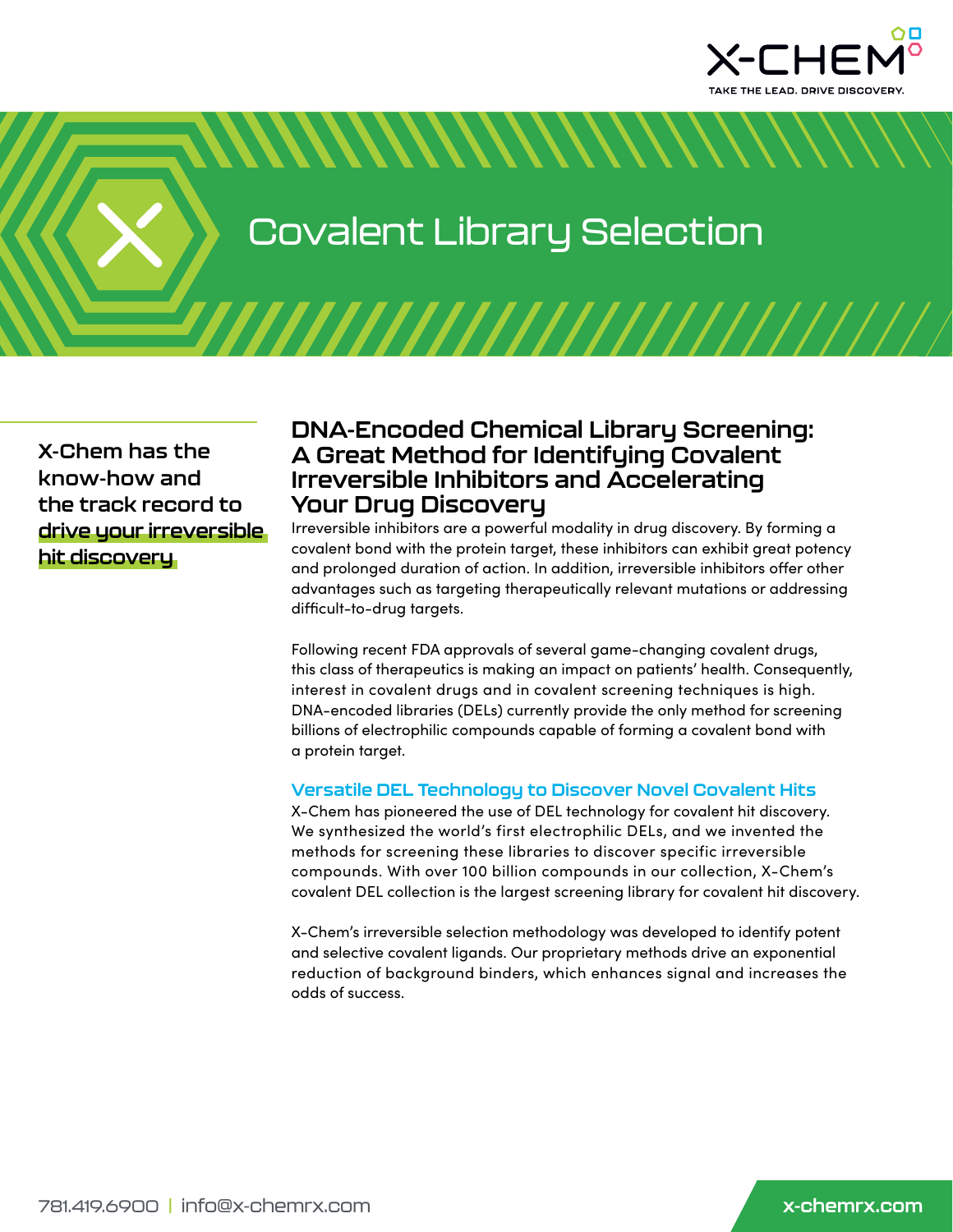

Covalent Library Selection

*MMMMMMMM* 

**X-Chem has the know-how and the track record to drive your irreversible hit discovery**

# **DNA-Encoded Chemical Library Screening: A Great Method for Identifying Covalent Irreversible Inhibitors and Accelerating Your Drug Discovery**

Irreversible inhibitors are a powerful modality in drug discovery. By forming a covalent bond with the protein target, these inhibitors can exhibit great potency and prolonged duration of action. In addition, irreversible inhibitors offer other advantages such as targeting therapeutically relevant mutations or addressing difficult-to-drug targets.

Following recent FDA approvals of several game-changing covalent drugs, this class of therapeutics is making an impact on patients' health. Consequently, interest in covalent drugs and in covalent screening techniques is high. DNA-encoded libraries (DELs) currently provide the only method for screening billions of electrophilic compounds capable of forming a covalent bond with a protein target.

#### **Versatile DEL Technology to Discover Novel Covalent Hits**

X-Chem has pioneered the use of DEL technology for covalent hit discovery. We synthesized the world's first electrophilic DELs, and we invented the methods for screening these libraries to discover specific irreversible compounds. With over 100 billion compounds in our collection, X-Chem's covalent DEL collection is the largest screening library for covalent hit discovery.

X-Chem's irreversible selection methodology was developed to identify potent and selective covalent ligands. Our proprietary methods drive an exponential reduction of background binders, which enhances signal and increases the odds of success.